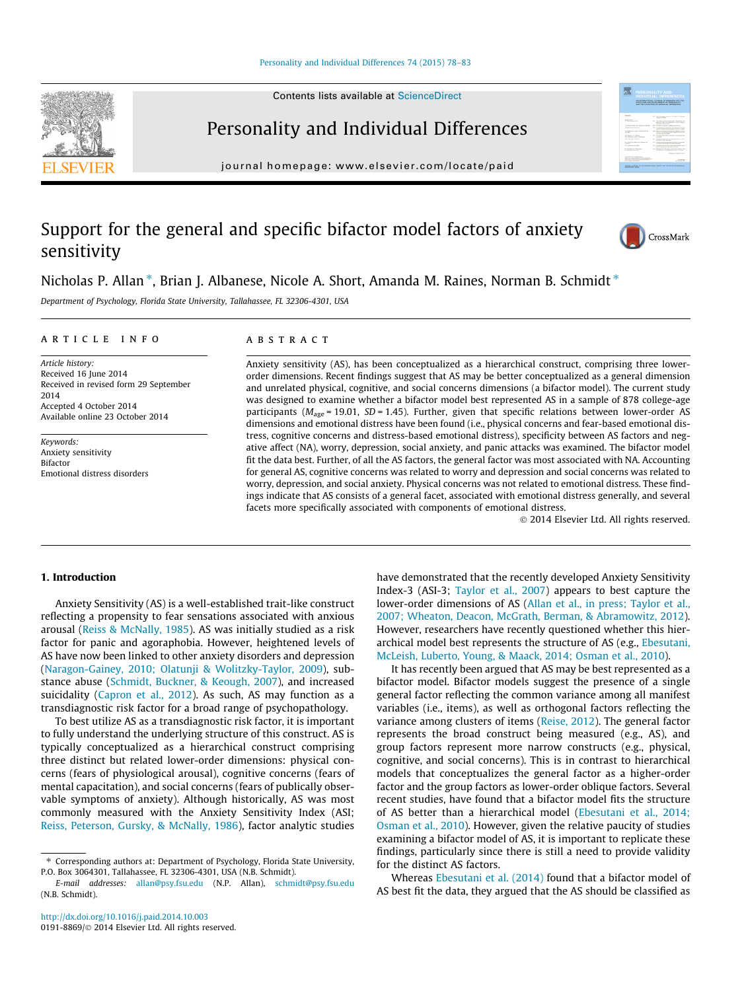Contents lists available at [ScienceDirect](http://www.sciencedirect.com/science/journal/01918869)

# Personality and Individual Differences

journal homepage: [www.elsevier.com/locate/paid](http://www.elsevier.com/locate/paid)

# Support for the general and specific bifactor model factors of anxiety sensitivity



骤

Nicholas P. Allan \*, Brian J. Albanese, Nicole A. Short, Amanda M. Raines, Norman B. Schmidt \*

Department of Psychology, Florida State University, Tallahassee, FL 32306-4301, USA

# article info

Article history: Received 16 June 2014 Received in revised form 29 September 2014 Accepted 4 October 2014 Available online 23 October 2014

Keywords: Anxiety sensitivity Bifactor Emotional distress disorders

# **ABSTRACT**

Anxiety sensitivity (AS), has been conceptualized as a hierarchical construct, comprising three lowerorder dimensions. Recent findings suggest that AS may be better conceptualized as a general dimension and unrelated physical, cognitive, and social concerns dimensions (a bifactor model). The current study was designed to examine whether a bifactor model best represented AS in a sample of 878 college-age participants ( $M_{\text{age}}$  = 19.01, SD = 1.45). Further, given that specific relations between lower-order AS dimensions and emotional distress have been found (i.e., physical concerns and fear-based emotional distress, cognitive concerns and distress-based emotional distress), specificity between AS factors and negative affect (NA), worry, depression, social anxiety, and panic attacks was examined. The bifactor model fit the data best. Further, of all the AS factors, the general factor was most associated with NA. Accounting for general AS, cognitive concerns was related to worry and depression and social concerns was related to worry, depression, and social anxiety. Physical concerns was not related to emotional distress. These findings indicate that AS consists of a general facet, associated with emotional distress generally, and several facets more specifically associated with components of emotional distress.

- 2014 Elsevier Ltd. All rights reserved.

# 1. Introduction

Anxiety Sensitivity (AS) is a well-established trait-like construct reflecting a propensity to fear sensations associated with anxious arousal [\(Reiss & McNally, 1985](#page--1-0)). AS was initially studied as a risk factor for panic and agoraphobia. However, heightened levels of AS have now been linked to other anxiety disorders and depression ([Naragon-Gainey, 2010; Olatunji & Wolitzky-Taylor, 2009](#page--1-0)), substance abuse [\(Schmidt, Buckner, & Keough, 2007](#page--1-0)), and increased suicidality ([Capron et al., 2012\)](#page--1-0). As such, AS may function as a transdiagnostic risk factor for a broad range of psychopathology.

To best utilize AS as a transdiagnostic risk factor, it is important to fully understand the underlying structure of this construct. AS is typically conceptualized as a hierarchical construct comprising three distinct but related lower-order dimensions: physical concerns (fears of physiological arousal), cognitive concerns (fears of mental capacitation), and social concerns (fears of publically observable symptoms of anxiety). Although historically, AS was most commonly measured with the Anxiety Sensitivity Index (ASI; [Reiss, Peterson, Gursky, & McNally, 1986\)](#page--1-0), factor analytic studies have demonstrated that the recently developed Anxiety Sensitivity Index-3 (ASI-3; [Taylor et al., 2007\)](#page--1-0) appears to best capture the lower-order dimensions of AS [\(Allan et al., in press; Taylor et al.,](#page--1-0) [2007; Wheaton, Deacon, McGrath, Berman, & Abramowitz, 2012\)](#page--1-0). However, researchers have recently questioned whether this hierarchical model best represents the structure of AS (e.g., [Ebesutani,](#page--1-0) [McLeish, Luberto, Young, & Maack, 2014; Osman et al., 2010](#page--1-0)).

It has recently been argued that AS may be best represented as a bifactor model. Bifactor models suggest the presence of a single general factor reflecting the common variance among all manifest variables (i.e., items), as well as orthogonal factors reflecting the variance among clusters of items [\(Reise, 2012](#page--1-0)). The general factor represents the broad construct being measured (e.g., AS), and group factors represent more narrow constructs (e.g., physical, cognitive, and social concerns). This is in contrast to hierarchical models that conceptualizes the general factor as a higher-order factor and the group factors as lower-order oblique factors. Several recent studies, have found that a bifactor model fits the structure of AS better than a hierarchical model [\(Ebesutani et al., 2014;](#page--1-0) [Osman et al., 2010\)](#page--1-0). However, given the relative paucity of studies examining a bifactor model of AS, it is important to replicate these findings, particularly since there is still a need to provide validity for the distinct AS factors.

Whereas [Ebesutani et al. \(2014\)](#page--1-0) found that a bifactor model of AS best fit the data, they argued that the AS should be classified as



<sup>⇑</sup> Corresponding authors at: Department of Psychology, Florida State University, P.O. Box 3064301, Tallahassee, FL 32306-4301, USA (N.B. Schmidt).

E-mail addresses: [allan@psy.fsu.edu](mailto:allan@psy.fsu.edu) (N.P. Allan), [schmidt@psy.fsu.edu](mailto:schmidt@psy.fsu.edu) (N.B. Schmidt).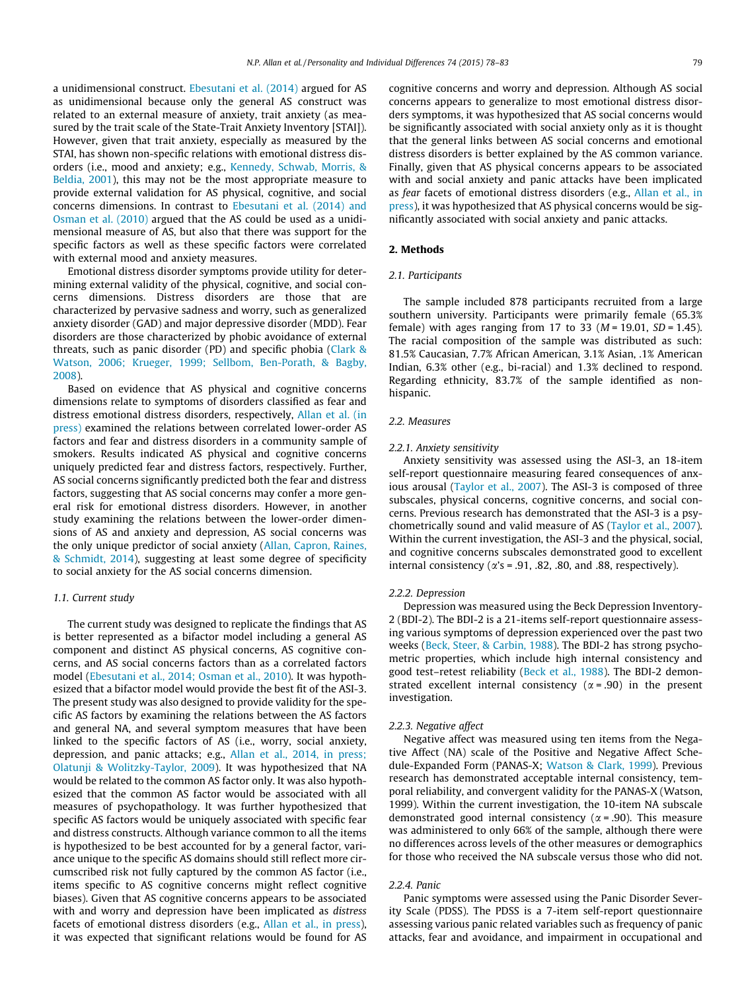a unidimensional construct. [Ebesutani et al. \(2014\)](#page--1-0) argued for AS as unidimensional because only the general AS construct was related to an external measure of anxiety, trait anxiety (as measured by the trait scale of the State-Trait Anxiety Inventory [STAI]). However, given that trait anxiety, especially as measured by the STAI, has shown non-specific relations with emotional distress disorders (i.e., mood and anxiety; e.g., [Kennedy, Schwab, Morris, &](#page--1-0) [Beldia, 2001](#page--1-0)), this may not be the most appropriate measure to provide external validation for AS physical, cognitive, and social concerns dimensions. In contrast to [Ebesutani et al. \(2014\) and](#page--1-0) [Osman et al. \(2010\)](#page--1-0) argued that the AS could be used as a unidimensional measure of AS, but also that there was support for the specific factors as well as these specific factors were correlated with external mood and anxiety measures.

Emotional distress disorder symptoms provide utility for determining external validity of the physical, cognitive, and social concerns dimensions. Distress disorders are those that are characterized by pervasive sadness and worry, such as generalized anxiety disorder (GAD) and major depressive disorder (MDD). Fear disorders are those characterized by phobic avoidance of external threats, such as panic disorder (PD) and specific phobia [\(Clark &](#page--1-0) [Watson, 2006; Krueger, 1999; Sellbom, Ben-Porath, & Bagby,](#page--1-0) [2008](#page--1-0)).

Based on evidence that AS physical and cognitive concerns dimensions relate to symptoms of disorders classified as fear and distress emotional distress disorders, respectively, [Allan et al. \(in](#page--1-0) [press\)](#page--1-0) examined the relations between correlated lower-order AS factors and fear and distress disorders in a community sample of smokers. Results indicated AS physical and cognitive concerns uniquely predicted fear and distress factors, respectively. Further, AS social concerns significantly predicted both the fear and distress factors, suggesting that AS social concerns may confer a more general risk for emotional distress disorders. However, in another study examining the relations between the lower-order dimensions of AS and anxiety and depression, AS social concerns was the only unique predictor of social anxiety [\(Allan, Capron, Raines,](#page--1-0) [& Schmidt, 2014](#page--1-0)), suggesting at least some degree of specificity to social anxiety for the AS social concerns dimension.

### 1.1. Current study

The current study was designed to replicate the findings that AS is better represented as a bifactor model including a general AS component and distinct AS physical concerns, AS cognitive concerns, and AS social concerns factors than as a correlated factors model ([Ebesutani et al., 2014; Osman et al., 2010](#page--1-0)). It was hypothesized that a bifactor model would provide the best fit of the ASI-3. The present study was also designed to provide validity for the specific AS factors by examining the relations between the AS factors and general NA, and several symptom measures that have been linked to the specific factors of AS (i.e., worry, social anxiety, depression, and panic attacks; e.g., [Allan et al., 2014, in press;](#page--1-0) [Olatunji & Wolitzky-Taylor, 2009](#page--1-0)). It was hypothesized that NA would be related to the common AS factor only. It was also hypothesized that the common AS factor would be associated with all measures of psychopathology. It was further hypothesized that specific AS factors would be uniquely associated with specific fear and distress constructs. Although variance common to all the items is hypothesized to be best accounted for by a general factor, variance unique to the specific AS domains should still reflect more circumscribed risk not fully captured by the common AS factor (i.e., items specific to AS cognitive concerns might reflect cognitive biases). Given that AS cognitive concerns appears to be associated with and worry and depression have been implicated as distress facets of emotional distress disorders (e.g., [Allan et al., in press\)](#page--1-0), it was expected that significant relations would be found for AS cognitive concerns and worry and depression. Although AS social concerns appears to generalize to most emotional distress disorders symptoms, it was hypothesized that AS social concerns would be significantly associated with social anxiety only as it is thought that the general links between AS social concerns and emotional distress disorders is better explained by the AS common variance. Finally, given that AS physical concerns appears to be associated with and social anxiety and panic attacks have been implicated as fear facets of emotional distress disorders (e.g., [Allan et al., in](#page--1-0) [press](#page--1-0)), it was hypothesized that AS physical concerns would be significantly associated with social anxiety and panic attacks.

# 2. Methods

#### 2.1. Participants

The sample included 878 participants recruited from a large southern university. Participants were primarily female (65.3% female) with ages ranging from 17 to 33 ( $M = 19.01$ ,  $SD = 1.45$ ). The racial composition of the sample was distributed as such: 81.5% Caucasian, 7.7% African American, 3.1% Asian, .1% American Indian, 6.3% other (e.g., bi-racial) and 1.3% declined to respond. Regarding ethnicity, 83.7% of the sample identified as nonhispanic.

#### 2.2. Measures

# 2.2.1. Anxiety sensitivity

Anxiety sensitivity was assessed using the ASI-3, an 18-item self-report questionnaire measuring feared consequences of anxious arousal ([Taylor et al., 2007\)](#page--1-0). The ASI-3 is composed of three subscales, physical concerns, cognitive concerns, and social concerns. Previous research has demonstrated that the ASI-3 is a psychometrically sound and valid measure of AS [\(Taylor et al., 2007\)](#page--1-0). Within the current investigation, the ASI-3 and the physical, social, and cognitive concerns subscales demonstrated good to excellent internal consistency ( $\alpha$ 's = .91, .82, .80, and .88, respectively).

#### 2.2.2. Depression

Depression was measured using the Beck Depression Inventory-2 (BDI-2). The BDI-2 is a 21-items self-report questionnaire assessing various symptoms of depression experienced over the past two weeks ([Beck, Steer, & Carbin, 1988\)](#page--1-0). The BDI-2 has strong psychometric properties, which include high internal consistency and good test–retest reliability [\(Beck et al., 1988](#page--1-0)). The BDI-2 demonstrated excellent internal consistency  $(\alpha = .90)$  in the present investigation.

### 2.2.3. Negative affect

Negative affect was measured using ten items from the Negative Affect (NA) scale of the Positive and Negative Affect Schedule-Expanded Form (PANAS-X; [Watson & Clark, 1999](#page--1-0)). Previous research has demonstrated acceptable internal consistency, temporal reliability, and convergent validity for the PANAS-X (Watson, 1999). Within the current investigation, the 10-item NA subscale demonstrated good internal consistency ( $\alpha$  = .90). This measure was administered to only 66% of the sample, although there were no differences across levels of the other measures or demographics for those who received the NA subscale versus those who did not.

# 2.2.4. Panic

Panic symptoms were assessed using the Panic Disorder Severity Scale (PDSS). The PDSS is a 7-item self-report questionnaire assessing various panic related variables such as frequency of panic attacks, fear and avoidance, and impairment in occupational and